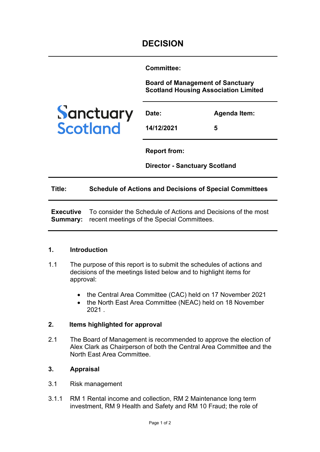**Committee:** 

**Board of Management of Sanctuary Scotland Housing Association Limited**



| <b>Date:</b> | Agenda Item: |
|--------------|--------------|
| 14/12/2021   | 5            |

**Report from:** 

**Director - Sanctuary Scotland**

#### **Title: Schedule of Actions and Decisions of Special Committees**

**Executive Summary:**  recent meetings of the Special Committees. To consider the Schedule of Actions and Decisions of the most

#### **1. Introduction**

- 1.1 The purpose of this report is to submit the schedules of actions and decisions of the meetings listed below and to highlight items for approval:
	- the Central Area Committee (CAC) held on 17 November 2021
	- the North East Area Committee (NEAC) held on 18 November 2021 .

# **2. Items highlighted for approval**

2.1 The Board of Management is recommended to approve the election of Alex Clark as Chairperson of both the Central Area Committee and the North East Area Committee.

# **3. Appraisal**

- 3.1 Risk management
- 3.1.1 RM 1 Rental income and collection, RM 2 Maintenance long term investment, RM 9 Health and Safety and RM 10 Fraud; the role of